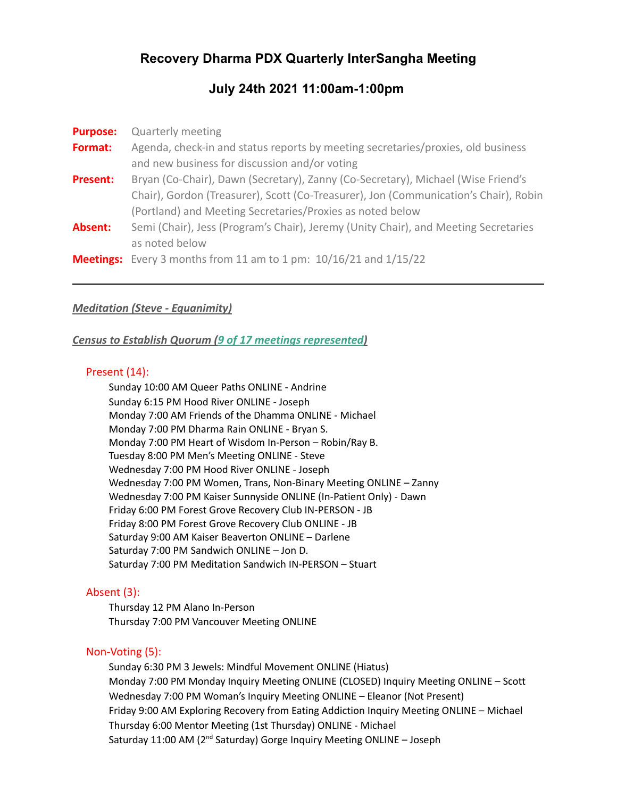# **Recovery Dharma PDX Quarterly InterSangha Meeting**

# **July 24th 2021 11:00am-1:00pm**

| <b>Purpose:</b> | <b>Quarterly meeting</b>                                                             |
|-----------------|--------------------------------------------------------------------------------------|
| Format:         | Agenda, check-in and status reports by meeting secretaries/proxies, old business     |
|                 | and new business for discussion and/or voting                                        |
| <b>Present:</b> | Bryan (Co-Chair), Dawn (Secretary), Zanny (Co-Secretary), Michael (Wise Friend's     |
|                 | Chair), Gordon (Treasurer), Scott (Co-Treasurer), Jon (Communication's Chair), Robin |
|                 | (Portland) and Meeting Secretaries/Proxies as noted below                            |
| Absent:         | Semi (Chair), Jess (Program's Chair), Jeremy (Unity Chair), and Meeting Secretaries  |
|                 | as noted below                                                                       |
|                 | <b>Meetings:</b> Every 3 months from 11 am to 1 pm: $10/16/21$ and $1/15/22$         |

### *Meditation (Steve - Equanimity)*

*Census to Establish Quorum (9 of 17 meetings represented)*

#### Present (14):

Sunday 10:00 AM Queer Paths ONLINE - Andrine Sunday 6:15 PM Hood River ONLINE - Joseph Monday 7:00 AM Friends of the Dhamma ONLINE - Michael Monday 7:00 PM Dharma Rain ONLINE - Bryan S. Monday 7:00 PM Heart of Wisdom In-Person – Robin/Ray B. Tuesday 8:00 PM Men's Meeting ONLINE - Steve Wednesday 7:00 PM Hood River ONLINE - Joseph Wednesday 7:00 PM Women, Trans, Non-Binary Meeting ONLINE – Zanny Wednesday 7:00 PM Kaiser Sunnyside ONLINE (In-Patient Only) - Dawn Friday 6:00 PM Forest Grove Recovery Club IN-PERSON - JB Friday 8:00 PM Forest Grove Recovery Club ONLINE - JB Saturday 9:00 AM Kaiser Beaverton ONLINE – Darlene Saturday 7:00 PM Sandwich ONLINE – Jon D. Saturday 7:00 PM Meditation Sandwich IN-PERSON – Stuart

### Absent (3):

Thursday 12 PM Alano In-Person Thursday 7:00 PM Vancouver Meeting ONLINE

### Non-Voting (5):

Sunday 6:30 PM 3 Jewels: Mindful Movement ONLINE (Hiatus) Monday 7:00 PM Monday Inquiry Meeting ONLINE (CLOSED) Inquiry Meeting ONLINE – Scott Wednesday 7:00 PM Woman's Inquiry Meeting ONLINE – Eleanor (Not Present) Friday 9:00 AM Exploring Recovery from Eating Addiction Inquiry Meeting ONLINE – Michael Thursday 6:00 Mentor Meeting (1st Thursday) ONLINE - Michael Saturday 11:00 AM (2<sup>nd</sup> Saturday) Gorge Inquiry Meeting ONLINE - Joseph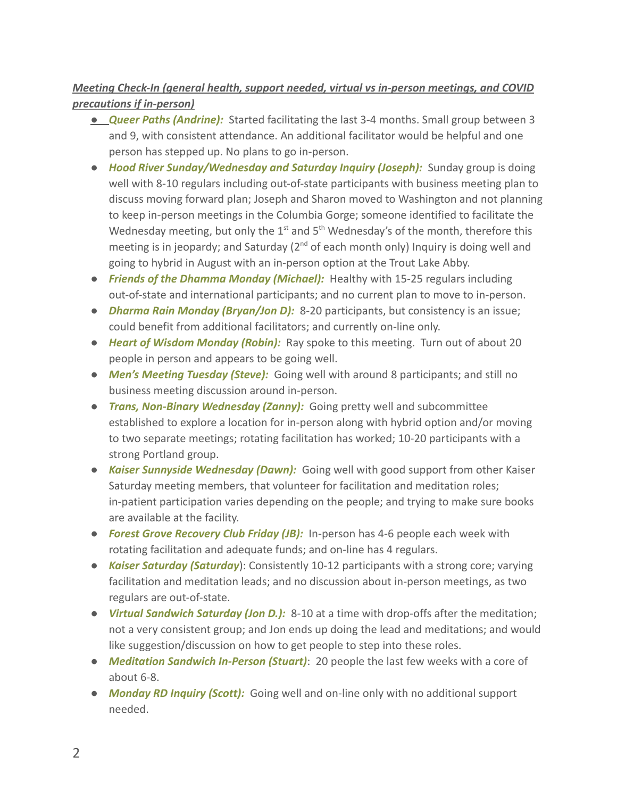# *Meeting Check-In (general health, support needed, virtual vs in-person meetings, and COVID precautions if in-person)*

- *● Queer Paths (Andrine):* Started facilitating the last 3-4 months. Small group between 3 and 9, with consistent attendance. An additional facilitator would be helpful and one person has stepped up. No plans to go in-person.
- *Hood River Sunday/Wednesday and Saturday Inquiry (Joseph):* Sunday group is doing well with 8-10 regulars including out-of-state participants with business meeting plan to discuss moving forward plan; Joseph and Sharon moved to Washington and not planning to keep in-person meetings in the Columbia Gorge; someone identified to facilitate the Wednesday meeting, but only the  $1<sup>st</sup>$  and  $5<sup>th</sup>$  Wednesday's of the month, therefore this meeting is in jeopardy; and Saturday  $(2^{nd}$  of each month only) Inquiry is doing well and going to hybrid in August with an in-person option at the Trout Lake Abby.
- *Friends of the Dhamma Monday (Michael):* Healthy with 15-25 regulars including out-of-state and international participants; and no current plan to move to in-person.
- *Dharma Rain Monday (Bryan/Jon D):* 8-20 participants, but consistency is an issue; could benefit from additional facilitators; and currently on-line only.
- *Heart of Wisdom Monday (Robin):* Ray spoke to this meeting. Turn out of about 20 people in person and appears to be going well.
- *Men's Meeting Tuesday (Steve):* Going well with around 8 participants; and still no business meeting discussion around in-person.
- *Trans, Non-Binary Wednesday (Zanny):* Going pretty well and subcommittee established to explore a location for in-person along with hybrid option and/or moving to two separate meetings; rotating facilitation has worked; 10-20 participants with a strong Portland group.
- *Kaiser Sunnyside Wednesday (Dawn):* Going well with good support from other Kaiser Saturday meeting members, that volunteer for facilitation and meditation roles; in-patient participation varies depending on the people; and trying to make sure books are available at the facility.
- *Forest Grove Recovery Club Friday (JB):* In-person has 4-6 people each week with rotating facilitation and adequate funds; and on-line has 4 regulars.
- *Kaiser Saturday (Saturday*): Consistently 10-12 participants with a strong core; varying facilitation and meditation leads; and no discussion about in-person meetings, as two regulars are out-of-state.
- *Virtual Sandwich Saturday (Jon D.):* 8-10 at a time with drop-offs after the meditation; not a very consistent group; and Jon ends up doing the lead and meditations; and would like suggestion/discussion on how to get people to step into these roles.
- *Meditation Sandwich In-Person (Stuart)*: 20 people the last few weeks with a core of about 6-8.
- *Monday RD Inquiry (Scott):* Going well and on-line only with no additional support needed.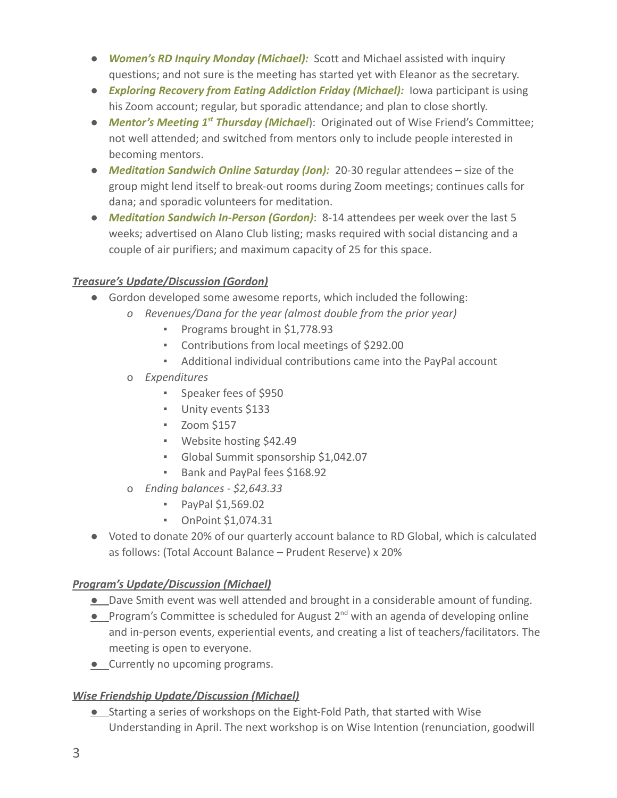- *Women's RD Inquiry Monday (Michael):* Scott and Michael assisted with inquiry questions; and not sure is the meeting has started yet with Eleanor as the secretary.
- *Exploring Recovery from Eating Addiction Friday (Michael):* Iowa participant is using his Zoom account; regular, but sporadic attendance; and plan to close shortly.
- *Mentor's Meeting 1st Thursday (Michael*): Originated out of Wise Friend's Committee; not well attended; and switched from mentors only to include people interested in becoming mentors.
- *Meditation Sandwich Online Saturday (Jon):* 20-30 regular attendees size of the group might lend itself to break-out rooms during Zoom meetings; continues calls for dana; and sporadic volunteers for meditation.
- *Meditation Sandwich In-Person (Gordon)*: 8-14 attendees per week over the last 5 weeks; advertised on Alano Club listing; masks required with social distancing and a couple of air purifiers; and maximum capacity of 25 for this space.

# *Treasure's Update/Discussion (Gordon)*

- Gordon developed some awesome reports, which included the following:
	- *o Revenues/Dana for the year (almost double from the prior year)*
		- Programs brought in \$1,778.93
		- Contributions from local meetings of \$292.00
		- Additional individual contributions came into the PayPal account
	- o *Expenditures*
		- Speaker fees of \$950
		- Unity events \$133
		- Zoom \$157
		- Website hosting \$42.49
		- Global Summit sponsorship \$1,042.07
		- Bank and PayPal fees \$168.92
	- o *Ending balances \$2,643.33*
		- PayPal \$1,569.02
		- OnPoint \$1,074.31
- Voted to donate 20% of our quarterly account balance to RD Global, which is calculated as follows: (Total Account Balance – Prudent Reserve) x 20%

### *Program's Update/Discussion (Michael)*

- *●* Dave Smith event was well attended and brought in a considerable amount of funding.
- Program's Committee is scheduled for August 2<sup>nd</sup> with an agenda of developing online and in-person events, experiential events, and creating a list of teachers/facilitators. The meeting is open to everyone.
- *●* Currently no upcoming programs.

# *Wise Friendship Update/Discussion (Michael)*

*●* Starting a series of workshops on the Eight-Fold Path, that started with Wise Understanding in April. The next workshop is on Wise Intention (renunciation, goodwill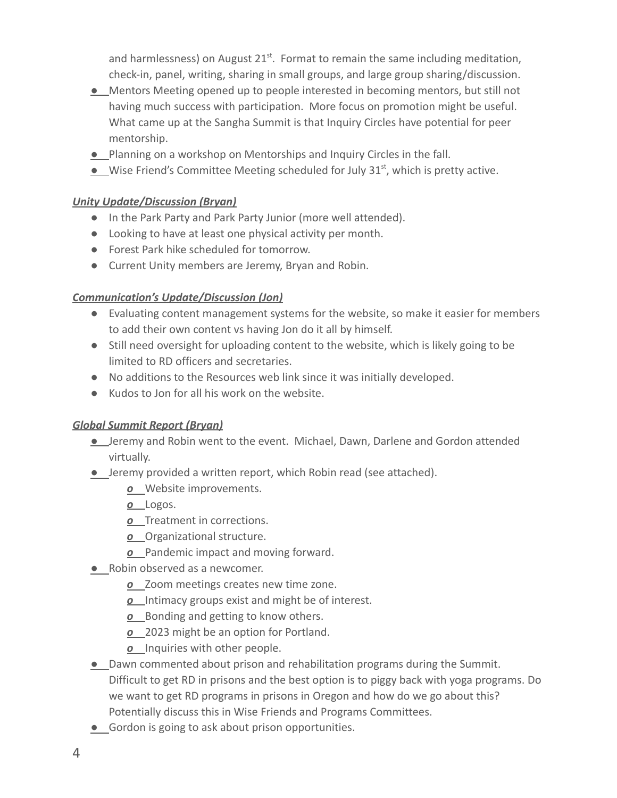and harmlessness) on August 21<sup>st</sup>. Format to remain the same including meditation, check-in, panel, writing, sharing in small groups, and large group sharing/discussion.

- *●* Mentors Meeting opened up to people interested in becoming mentors, but still not having much success with participation. More focus on promotion might be useful. What came up at the Sangha Summit is that Inquiry Circles have potential for peer mentorship.
- *●* Planning on a workshop on Mentorships and Inquiry Circles in the fall.
- Wise Friend's Committee Meeting scheduled for July 31<sup>st</sup>, which is pretty active.

# *Unity Update/Discussion (Bryan)*

- In the Park Party and Park Party Junior (more well attended).
- Looking to have at least one physical activity per month.
- Forest Park hike scheduled for tomorrow.
- Current Unity members are Jeremy, Bryan and Robin.

# *Communication's Update/Discussion (Jon)*

- Evaluating content management systems for the website, so make it easier for members to add their own content vs having Jon do it all by himself.
- Still need oversight for uploading content to the website, which is likely going to be limited to RD officers and secretaries.
- No additions to the Resources web link since it was initially developed.
- Kudos to Jon for all his work on the website.

### *Global Summit Report (Bryan)*

- *●* Jeremy and Robin went to the event. Michael, Dawn, Darlene and Gordon attended virtually.
- *●* Jeremy provided a written report, which Robin read (see attached).
	- *o* Website improvements.
	- *o* Logos.
	- *o* Treatment in corrections.
	- *o* Organizational structure.
	- *o* Pandemic impact and moving forward.
- *●* Robin observed as a newcomer.
	- *o* Zoom meetings creates new time zone.
	- *o* Intimacy groups exist and might be of interest.
	- *o* Bonding and getting to know others.
	- *o* 2023 might be an option for Portland.
	- *o* Inquiries with other people.
- *●* Dawn commented about prison and rehabilitation programs during the Summit. Difficult to get RD in prisons and the best option is to piggy back with yoga programs. Do we want to get RD programs in prisons in Oregon and how do we go about this? Potentially discuss this in Wise Friends and Programs Committees.
- *●* Gordon is going to ask about prison opportunities.